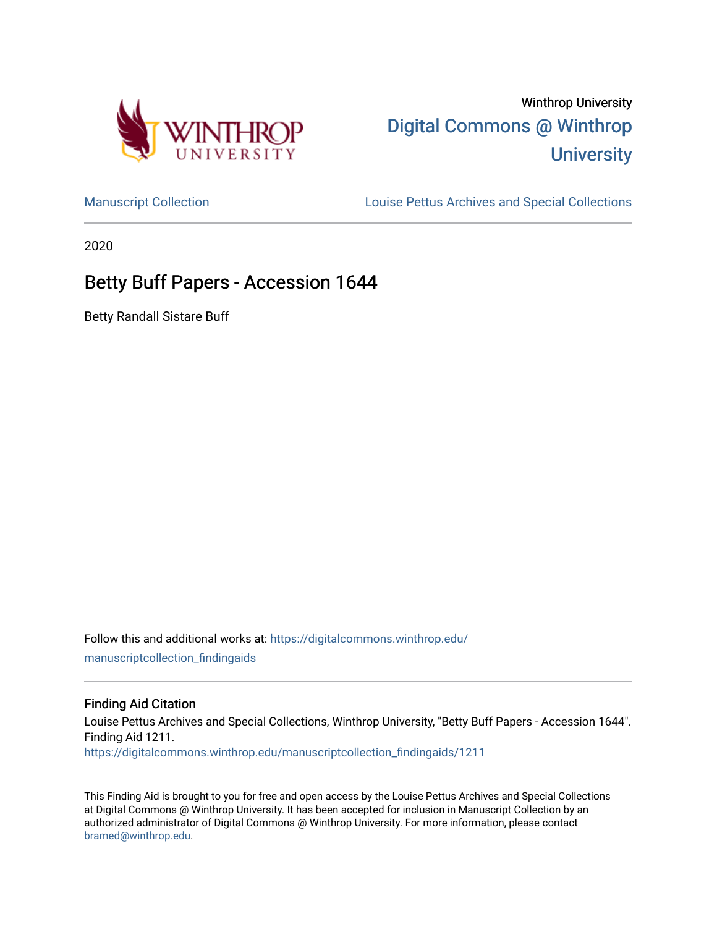

# Winthrop University [Digital Commons @ Winthrop](https://digitalcommons.winthrop.edu/)  **University**

[Manuscript Collection](https://digitalcommons.winthrop.edu/manuscriptcollection_findingaids) **Louise Pettus Archives and Special Collections** 

2020

# Betty Buff Papers - Accession 1644

Betty Randall Sistare Buff

Follow this and additional works at: [https://digitalcommons.winthrop.edu/](https://digitalcommons.winthrop.edu/manuscriptcollection_findingaids?utm_source=digitalcommons.winthrop.edu%2Fmanuscriptcollection_findingaids%2F1211&utm_medium=PDF&utm_campaign=PDFCoverPages) [manuscriptcollection\\_findingaids](https://digitalcommons.winthrop.edu/manuscriptcollection_findingaids?utm_source=digitalcommons.winthrop.edu%2Fmanuscriptcollection_findingaids%2F1211&utm_medium=PDF&utm_campaign=PDFCoverPages) 

#### Finding Aid Citation

Louise Pettus Archives and Special Collections, Winthrop University, "Betty Buff Papers - Accession 1644". Finding Aid 1211. [https://digitalcommons.winthrop.edu/manuscriptcollection\\_findingaids/1211](https://digitalcommons.winthrop.edu/manuscriptcollection_findingaids/1211?utm_source=digitalcommons.winthrop.edu%2Fmanuscriptcollection_findingaids%2F1211&utm_medium=PDF&utm_campaign=PDFCoverPages) 

This Finding Aid is brought to you for free and open access by the Louise Pettus Archives and Special Collections at Digital Commons @ Winthrop University. It has been accepted for inclusion in Manuscript Collection by an authorized administrator of Digital Commons @ Winthrop University. For more information, please contact [bramed@winthrop.edu.](mailto:bramed@winthrop.edu)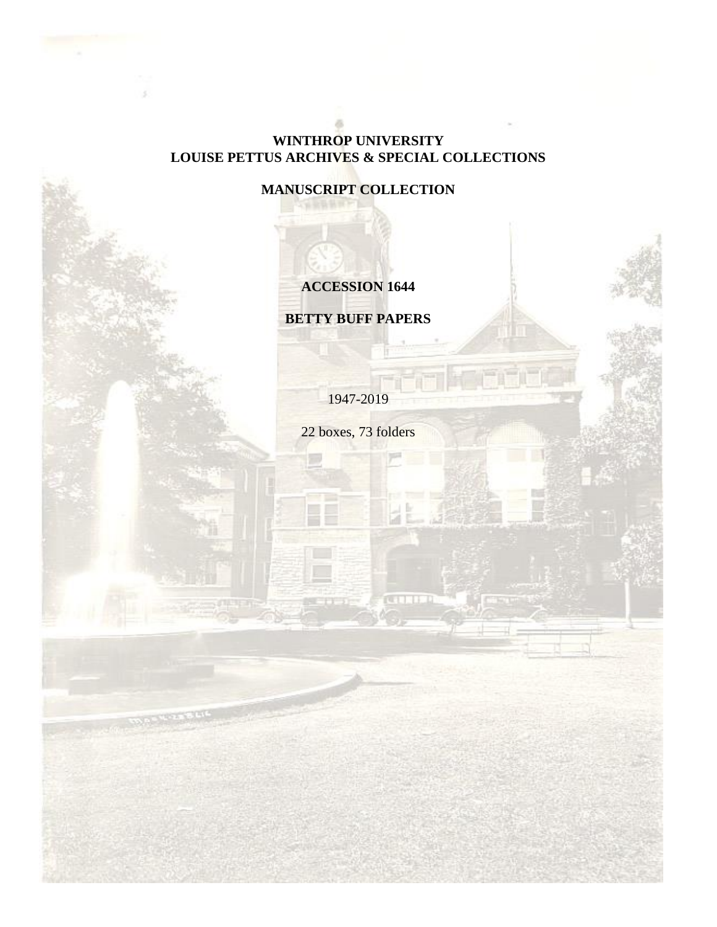## **WINTHROP UNIVERSITY LOUISE PETTUS ARCHIVES & SPECIAL COLLECTIONS**

**MANUSCRIPT COLLECTION**

# **ACCESSION 1644**

**BETTY BUFF PAPERS**

1947-2019

22 boxes, 73 folders

**CELLE**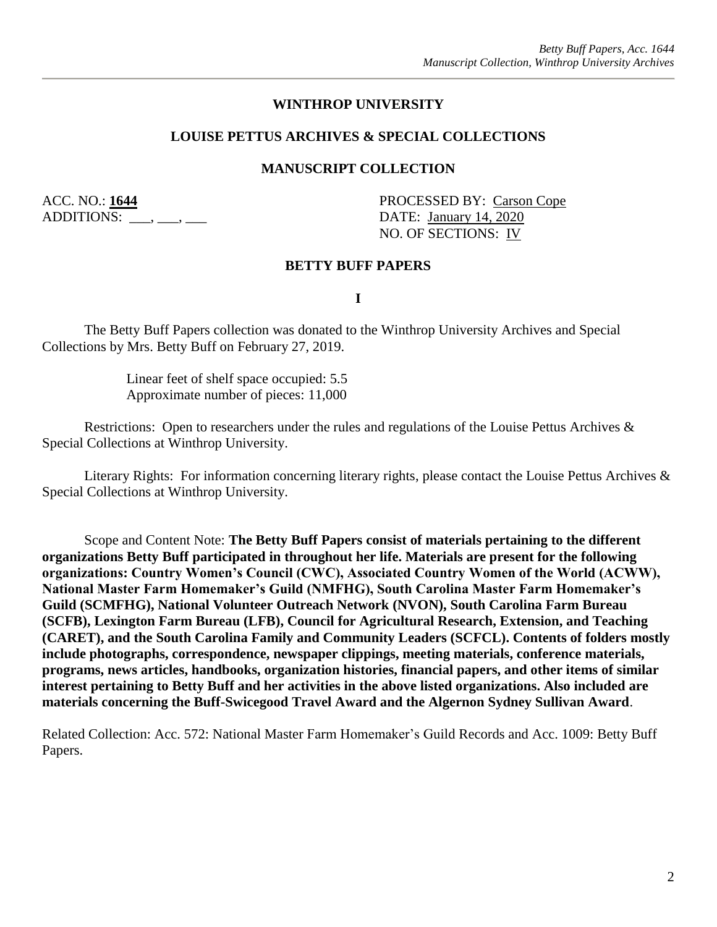#### **WINTHROP UNIVERSITY**

#### **LOUISE PETTUS ARCHIVES & SPECIAL COLLECTIONS**

#### **MANUSCRIPT COLLECTION**

ADDITIONS: \_\_\_, \_\_\_, \_\_\_

ACC. NO.: **1644** PROCESSED BY: Carson Cope NO. OF SECTIONS: IV

#### **BETTY BUFF PAPERS**

**I**

The Betty Buff Papers collection was donated to the Winthrop University Archives and Special Collections by Mrs. Betty Buff on February 27, 2019.

> Linear feet of shelf space occupied: 5.5 Approximate number of pieces: 11,000

Restrictions: Open to researchers under the rules and regulations of the Louise Pettus Archives & Special Collections at Winthrop University.

Literary Rights: For information concerning literary rights, please contact the Louise Pettus Archives & Special Collections at Winthrop University.

Scope and Content Note: **The Betty Buff Papers consist of materials pertaining to the different organizations Betty Buff participated in throughout her life. Materials are present for the following organizations: Country Women's Council (CWC), Associated Country Women of the World (ACWW), National Master Farm Homemaker's Guild (NMFHG), South Carolina Master Farm Homemaker's Guild (SCMFHG), National Volunteer Outreach Network (NVON), South Carolina Farm Bureau (SCFB), Lexington Farm Bureau (LFB), Council for Agricultural Research, Extension, and Teaching (CARET), and the South Carolina Family and Community Leaders (SCFCL). Contents of folders mostly include photographs, correspondence, newspaper clippings, meeting materials, conference materials, programs, news articles, handbooks, organization histories, financial papers, and other items of similar interest pertaining to Betty Buff and her activities in the above listed organizations. Also included are materials concerning the Buff-Swicegood Travel Award and the Algernon Sydney Sullivan Award**.

Related Collection: Acc. 572: National Master Farm Homemaker's Guild Records and Acc. 1009: Betty Buff Papers.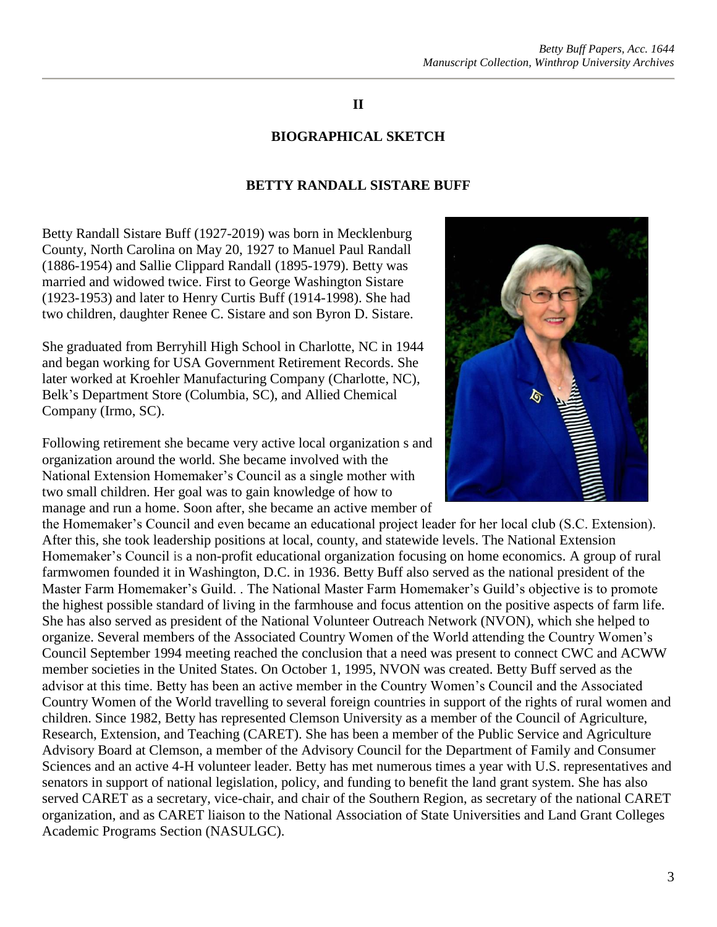### **II**

#### **BIOGRAPHICAL SKETCH**

#### **BETTY RANDALL SISTARE BUFF**

Betty Randall Sistare Buff (1927-2019) was born in Mecklenburg County, North Carolina on May 20, 1927 to Manuel Paul Randall (1886-1954) and Sallie Clippard Randall (1895-1979). Betty was married and widowed twice. First to George Washington Sistare (1923-1953) and later to Henry Curtis Buff (1914-1998). She had two children, daughter Renee C. Sistare and son Byron D. Sistare.

She graduated from Berryhill High School in Charlotte, NC in 1944 and began working for USA Government Retirement Records. She later worked at Kroehler Manufacturing Company (Charlotte, NC), Belk's Department Store (Columbia, SC), and Allied Chemical Company (Irmo, SC).

Following retirement she became very active local organization s and organization around the world. She became involved with the National Extension Homemaker's Council as a single mother with two small children. Her goal was to gain knowledge of how to manage and run a home. Soon after, she became an active member of

the Homemaker's Council and even became an educational project leader for her local club (S.C. Extension). After this, she took leadership positions at local, county, and statewide levels. The National Extension Homemaker's Council is a non-profit educational organization focusing on home economics. A group of rural farmwomen founded it in Washington, D.C. in 1936. Betty Buff also served as the national president of the Master Farm Homemaker's Guild. . The National Master Farm Homemaker's Guild's objective is to promote the highest possible standard of living in the farmhouse and focus attention on the positive aspects of farm life. She has also served as president of the National Volunteer Outreach Network (NVON), which she helped to organize. Several members of the Associated Country Women of the World attending the Country Women's Council September 1994 meeting reached the conclusion that a need was present to connect CWC and ACWW member societies in the United States. On October 1, 1995, NVON was created. Betty Buff served as the advisor at this time. Betty has been an active member in the Country Women's Council and the Associated Country Women of the World travelling to several foreign countries in support of the rights of rural women and children. Since 1982, Betty has represented Clemson University as a member of the Council of Agriculture, Research, Extension, and Teaching (CARET). She has been a member of the Public Service and Agriculture Advisory Board at Clemson, a member of the Advisory Council for the Department of Family and Consumer Sciences and an active 4-H volunteer leader. Betty has met numerous times a year with U.S. representatives and senators in support of national legislation, policy, and funding to benefit the land grant system. She has also served CARET as a secretary, vice-chair, and chair of the Southern Region, as secretary of the national CARET organization, and as CARET liaison to the National Association of State Universities and Land Grant Colleges Academic Programs Section (NASULGC).



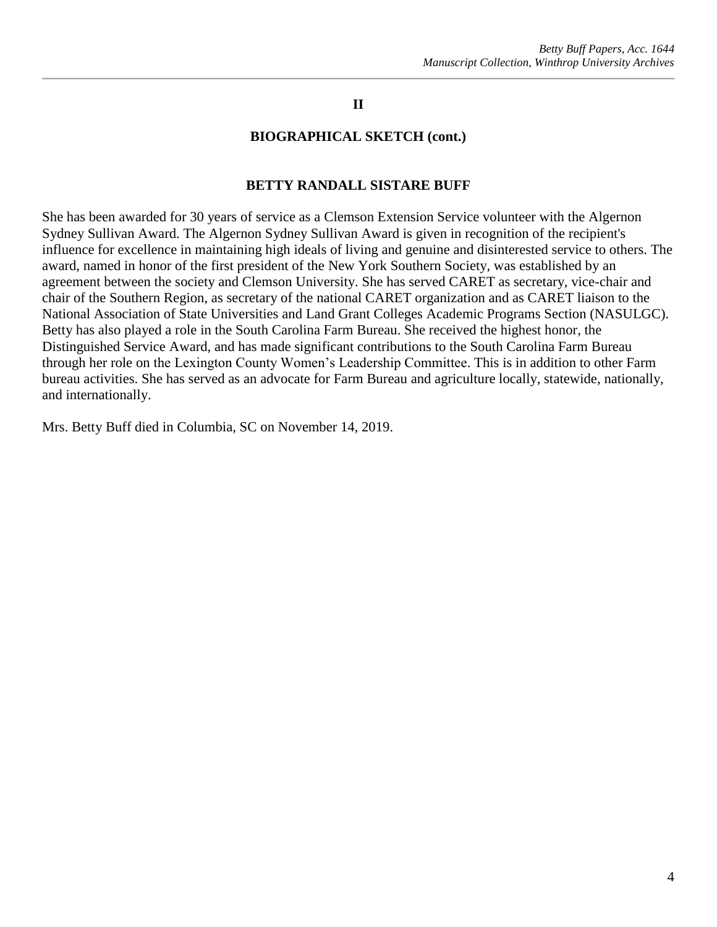### **II**

#### **BIOGRAPHICAL SKETCH (cont.)**

#### **BETTY RANDALL SISTARE BUFF**

She has been awarded for 30 years of service as a Clemson Extension Service volunteer with the Algernon Sydney Sullivan Award. The Algernon Sydney Sullivan Award is given in recognition of the recipient's influence for excellence in maintaining high ideals of living and genuine and disinterested service to others. The award, named in honor of the first president of the New York Southern Society, was established by an agreement between the society and Clemson University. She has served CARET as secretary, vice-chair and chair of the Southern Region, as secretary of the national CARET organization and as CARET liaison to the National Association of State Universities and Land Grant Colleges Academic Programs Section (NASULGC). Betty has also played a role in the South Carolina Farm Bureau. She received the highest honor, the Distinguished Service Award, and has made significant contributions to the South Carolina Farm Bureau through her role on the Lexington County Women's Leadership Committee. This is in addition to other Farm bureau activities. She has served as an advocate for Farm Bureau and agriculture locally, statewide, nationally, and internationally.

Mrs. Betty Buff died in Columbia, SC on November 14, 2019.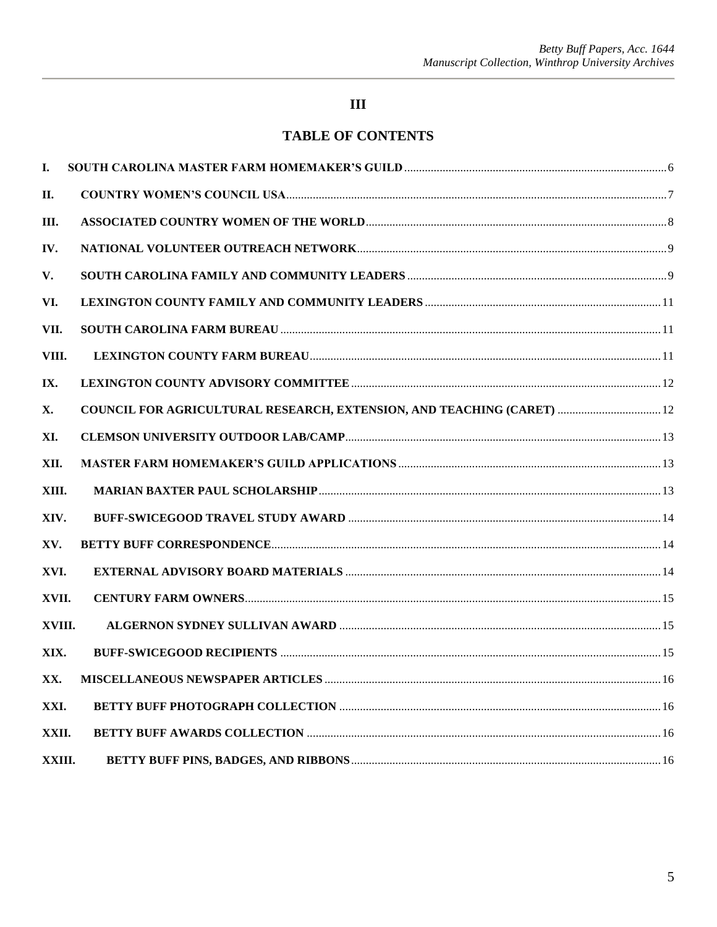## $\mathbf{III}$

## **TABLE OF CONTENTS**

| I.     |                                                                        |  |
|--------|------------------------------------------------------------------------|--|
| II.    |                                                                        |  |
| Ш.     |                                                                        |  |
| IV.    |                                                                        |  |
| V.     |                                                                        |  |
| VI.    |                                                                        |  |
| VII.   |                                                                        |  |
| VIII.  |                                                                        |  |
| IX.    |                                                                        |  |
| X.     | COUNCIL FOR AGRICULTURAL RESEARCH, EXTENSION, AND TEACHING (CARET)  12 |  |
| XI.    |                                                                        |  |
| XII.   |                                                                        |  |
| XIII.  |                                                                        |  |
| XIV.   |                                                                        |  |
| XV.    |                                                                        |  |
| XVI.   |                                                                        |  |
| XVII.  |                                                                        |  |
| XVIII. |                                                                        |  |
| XIX.   |                                                                        |  |
| XX.    |                                                                        |  |
| XXI.   |                                                                        |  |
| XXII.  |                                                                        |  |
| XXIII. |                                                                        |  |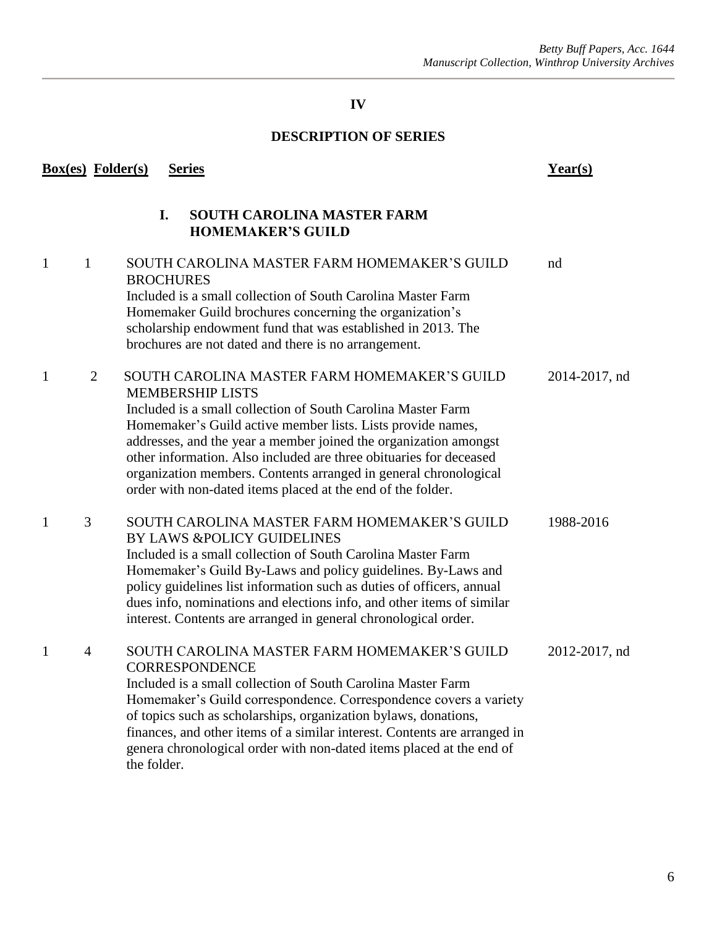## **DESCRIPTION OF SERIES**

<span id="page-6-0"></span>

|   | <b>Box(es)</b> Folder(s) | <b>Series</b>                                                                                                                                                                                                                                                                                                                                                                                                                                                                       | $Year(s)$     |
|---|--------------------------|-------------------------------------------------------------------------------------------------------------------------------------------------------------------------------------------------------------------------------------------------------------------------------------------------------------------------------------------------------------------------------------------------------------------------------------------------------------------------------------|---------------|
|   |                          | I.<br><b>SOUTH CAROLINA MASTER FARM</b><br><b>HOMEMAKER'S GUILD</b>                                                                                                                                                                                                                                                                                                                                                                                                                 |               |
| 1 | $\mathbf{1}$             | SOUTH CAROLINA MASTER FARM HOMEMAKER'S GUILD<br><b>BROCHURES</b><br>Included is a small collection of South Carolina Master Farm<br>Homemaker Guild brochures concerning the organization's<br>scholarship endowment fund that was established in 2013. The<br>brochures are not dated and there is no arrangement.                                                                                                                                                                 | nd            |
| 1 | 2                        | SOUTH CAROLINA MASTER FARM HOMEMAKER'S GUILD<br><b>MEMBERSHIP LISTS</b><br>Included is a small collection of South Carolina Master Farm<br>Homemaker's Guild active member lists. Lists provide names,<br>addresses, and the year a member joined the organization amongst<br>other information. Also included are three obituaries for deceased<br>organization members. Contents arranged in general chronological<br>order with non-dated items placed at the end of the folder. | 2014-2017, nd |
| 1 | 3                        | SOUTH CAROLINA MASTER FARM HOMEMAKER'S GUILD<br>BY LAWS &POLICY GUIDELINES<br>Included is a small collection of South Carolina Master Farm<br>Homemaker's Guild By-Laws and policy guidelines. By-Laws and<br>policy guidelines list information such as duties of officers, annual<br>dues info, nominations and elections info, and other items of similar<br>interest. Contents are arranged in general chronological order.                                                     | 1988-2016     |
| 1 | $\overline{4}$           | SOUTH CAROLINA MASTER FARM HOMEMAKER'S GUILD<br><b>CORRESPONDENCE</b><br>Included is a small collection of South Carolina Master Farm<br>Homemaker's Guild correspondence. Correspondence covers a variety<br>of topics such as scholarships, organization bylaws, donations,<br>finances, and other items of a similar interest. Contents are arranged in<br>genera chronological order with non-dated items placed at the end of<br>the folder.                                   | 2012-2017, nd |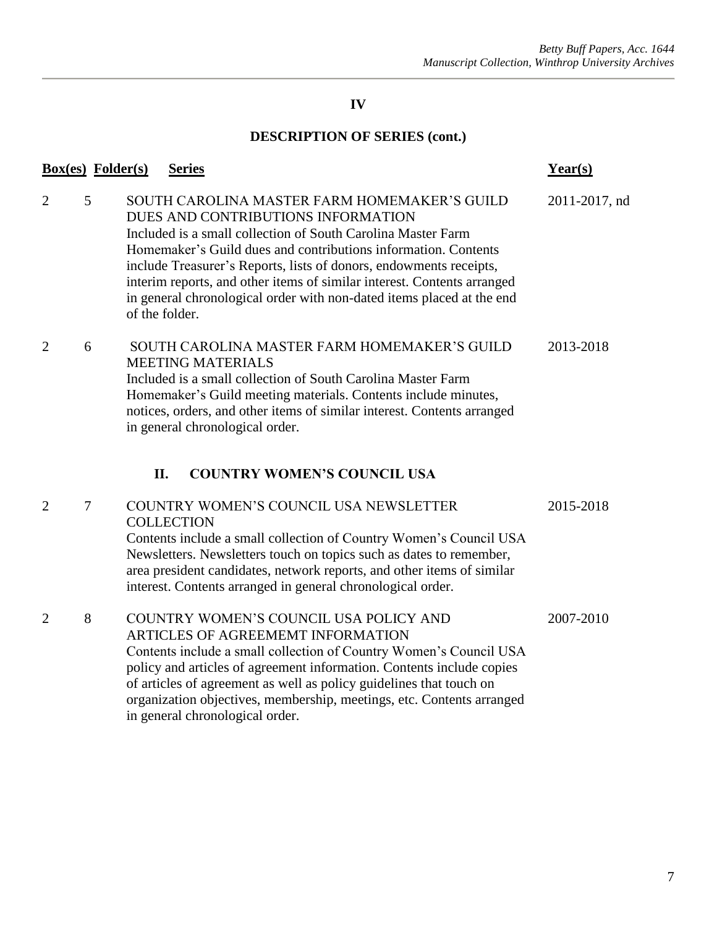<span id="page-7-0"></span>

|                                  | <b>Box(es)</b> Folder(s) | <b>Series</b>                                                                                                                                                                                                                                                                                                                                                                                                                                                    | $Year(s)$     |
|----------------------------------|--------------------------|------------------------------------------------------------------------------------------------------------------------------------------------------------------------------------------------------------------------------------------------------------------------------------------------------------------------------------------------------------------------------------------------------------------------------------------------------------------|---------------|
| $\overline{2}$<br>5              |                          | SOUTH CAROLINA MASTER FARM HOMEMAKER'S GUILD<br>DUES AND CONTRIBUTIONS INFORMATION<br>Included is a small collection of South Carolina Master Farm<br>Homemaker's Guild dues and contributions information. Contents<br>include Treasurer's Reports, lists of donors, endowments receipts,<br>interim reports, and other items of similar interest. Contents arranged<br>in general chronological order with non-dated items placed at the end<br>of the folder. | 2011-2017, nd |
| $\overline{2}$<br>6              |                          | SOUTH CAROLINA MASTER FARM HOMEMAKER'S GUILD<br><b>MEETING MATERIALS</b><br>Included is a small collection of South Carolina Master Farm<br>Homemaker's Guild meeting materials. Contents include minutes,<br>notices, orders, and other items of similar interest. Contents arranged<br>in general chronological order.<br><b>COUNTRY WOMEN'S COUNCIL USA</b><br>II.                                                                                            | 2013-2018     |
| $\overline{2}$<br>$\overline{7}$ |                          | COUNTRY WOMEN'S COUNCIL USA NEWSLETTER<br><b>COLLECTION</b><br>Contents include a small collection of Country Women's Council USA<br>Newsletters. Newsletters touch on topics such as dates to remember,<br>area president candidates, network reports, and other items of similar<br>interest. Contents arranged in general chronological order.                                                                                                                | 2015-2018     |
| 8<br>$\overline{2}$              |                          | COUNTRY WOMEN'S COUNCIL USA POLICY AND<br>ARTICLES OF AGREEMEMT INFORMATION<br>Contents include a small collection of Country Women's Council USA<br>policy and articles of agreement information. Contents include copies<br>of articles of agreement as well as policy guidelines that touch on<br>organization objectives, membership, meetings, etc. Contents arranged<br>in general chronological order.                                                    | 2007-2010     |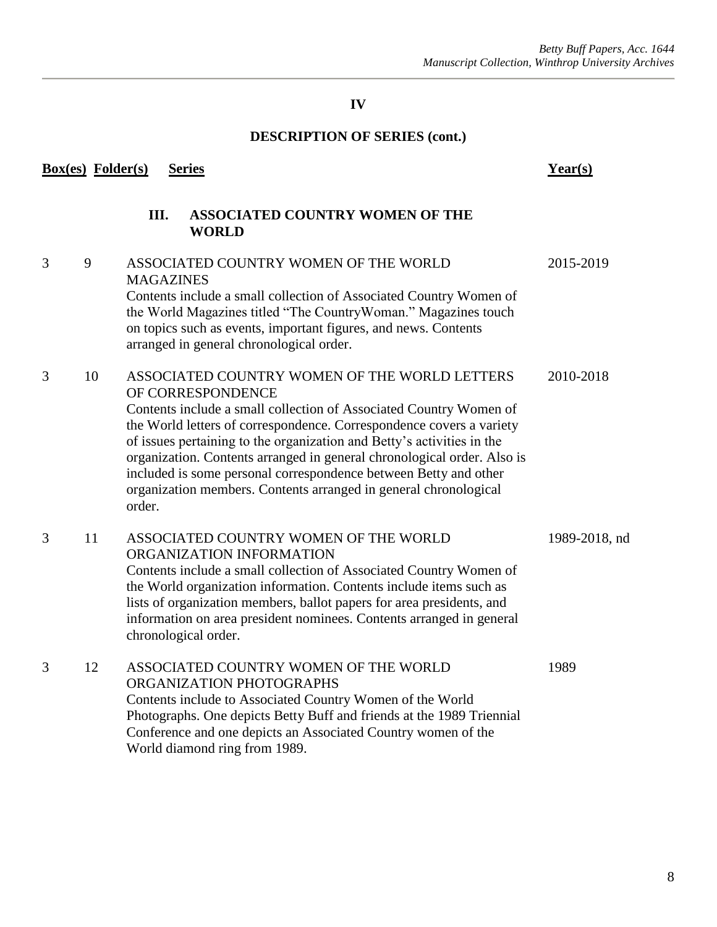<span id="page-8-0"></span>

| <b>Box(es)</b> Folder(s)<br><b>Series</b> |    |                                                                                                                                                                                                                                                                                                                                                                                                                                                                                                                         | Year(s)       |  |
|-------------------------------------------|----|-------------------------------------------------------------------------------------------------------------------------------------------------------------------------------------------------------------------------------------------------------------------------------------------------------------------------------------------------------------------------------------------------------------------------------------------------------------------------------------------------------------------------|---------------|--|
|                                           |    | Ш.<br><b>ASSOCIATED COUNTRY WOMEN OF THE</b><br><b>WORLD</b>                                                                                                                                                                                                                                                                                                                                                                                                                                                            |               |  |
| 3                                         | 9  | ASSOCIATED COUNTRY WOMEN OF THE WORLD<br><b>MAGAZINES</b><br>Contents include a small collection of Associated Country Women of<br>the World Magazines titled "The CountryWoman." Magazines touch<br>on topics such as events, important figures, and news. Contents<br>arranged in general chronological order.                                                                                                                                                                                                        | 2015-2019     |  |
| 3                                         | 10 | ASSOCIATED COUNTRY WOMEN OF THE WORLD LETTERS<br>OF CORRESPONDENCE<br>Contents include a small collection of Associated Country Women of<br>the World letters of correspondence. Correspondence covers a variety<br>of issues pertaining to the organization and Betty's activities in the<br>organization. Contents arranged in general chronological order. Also is<br>included is some personal correspondence between Betty and other<br>organization members. Contents arranged in general chronological<br>order. | 2010-2018     |  |
| 3                                         | 11 | ASSOCIATED COUNTRY WOMEN OF THE WORLD<br>ORGANIZATION INFORMATION<br>Contents include a small collection of Associated Country Women of<br>the World organization information. Contents include items such as<br>lists of organization members, ballot papers for area presidents, and<br>information on area president nominees. Contents arranged in general<br>chronological order.                                                                                                                                  | 1989-2018, nd |  |
| 3                                         | 12 | ASSOCIATED COUNTRY WOMEN OF THE WORLD<br>ORGANIZATION PHOTOGRAPHS<br>Contents include to Associated Country Women of the World<br>Photographs. One depicts Betty Buff and friends at the 1989 Triennial<br>Conference and one depicts an Associated Country women of the<br>World diamond ring from 1989.                                                                                                                                                                                                               | 1989          |  |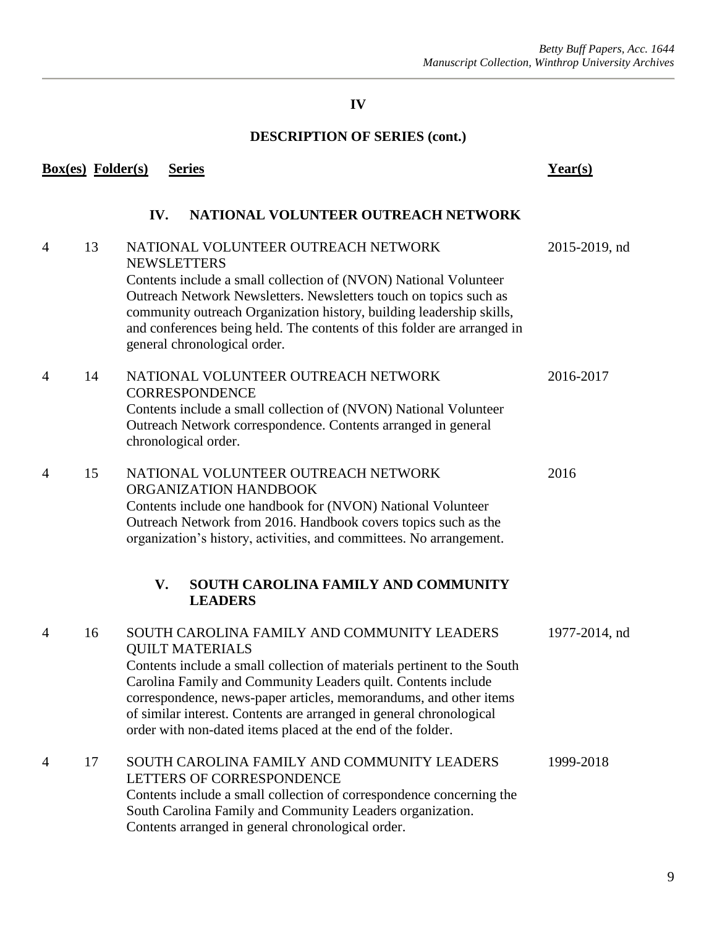<span id="page-9-1"></span><span id="page-9-0"></span>

|                | <b>Box(es)</b> Folder(s) | <b>Series</b>                                                                                                                                                                                                                                                                                                                                                                                                                | $Year(s)$     |
|----------------|--------------------------|------------------------------------------------------------------------------------------------------------------------------------------------------------------------------------------------------------------------------------------------------------------------------------------------------------------------------------------------------------------------------------------------------------------------------|---------------|
|                |                          | IV.<br>NATIONAL VOLUNTEER OUTREACH NETWORK                                                                                                                                                                                                                                                                                                                                                                                   |               |
| $\overline{4}$ | 13                       | NATIONAL VOLUNTEER OUTREACH NETWORK<br><b>NEWSLETTERS</b><br>Contents include a small collection of (NVON) National Volunteer<br>Outreach Network Newsletters. Newsletters touch on topics such as<br>community outreach Organization history, building leadership skills,<br>and conferences being held. The contents of this folder are arranged in<br>general chronological order.                                        | 2015-2019, nd |
| $\overline{4}$ | 14                       | NATIONAL VOLUNTEER OUTREACH NETWORK<br><b>CORRESPONDENCE</b><br>Contents include a small collection of (NVON) National Volunteer<br>Outreach Network correspondence. Contents arranged in general<br>chronological order.                                                                                                                                                                                                    | 2016-2017     |
| $\overline{4}$ | 15                       | NATIONAL VOLUNTEER OUTREACH NETWORK<br>ORGANIZATION HANDBOOK<br>Contents include one handbook for (NVON) National Volunteer<br>Outreach Network from 2016. Handbook covers topics such as the<br>organization's history, activities, and committees. No arrangement.                                                                                                                                                         | 2016          |
|                |                          | SOUTH CAROLINA FAMILY AND COMMUNITY<br>V.<br><b>LEADERS</b>                                                                                                                                                                                                                                                                                                                                                                  |               |
| $\overline{4}$ | 16                       | SOUTH CAROLINA FAMILY AND COMMUNITY LEADERS<br><b>QUILT MATERIALS</b><br>Contents include a small collection of materials pertinent to the South<br>Carolina Family and Community Leaders quilt. Contents include<br>correspondence, news-paper articles, memorandums, and other items<br>of similar interest. Contents are arranged in general chronological<br>order with non-dated items placed at the end of the folder. | 1977-2014, nd |
| 4              | 17                       | SOUTH CAROLINA FAMILY AND COMMUNITY LEADERS<br>LETTERS OF CORRESPONDENCE<br>Contents include a small collection of correspondence concerning the<br>South Carolina Family and Community Leaders organization.<br>Contents arranged in general chronological order.                                                                                                                                                           | 1999-2018     |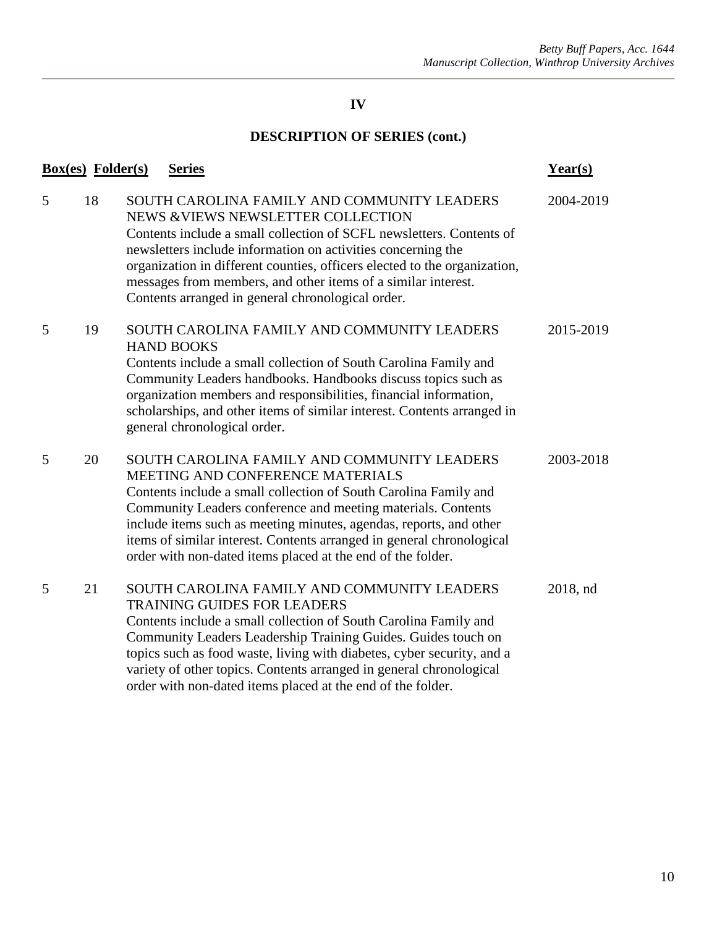|   | <b>Box(es)</b> Folder(s) | <b>Series</b>                                                                                                                                                                                                                                                                                                                                                                                                                          | $Year(s)$ |
|---|--------------------------|----------------------------------------------------------------------------------------------------------------------------------------------------------------------------------------------------------------------------------------------------------------------------------------------------------------------------------------------------------------------------------------------------------------------------------------|-----------|
| 5 | 18                       | SOUTH CAROLINA FAMILY AND COMMUNITY LEADERS<br>NEWS & VIEWS NEWSLETTER COLLECTION<br>Contents include a small collection of SCFL newsletters. Contents of<br>newsletters include information on activities concerning the<br>organization in different counties, officers elected to the organization,<br>messages from members, and other items of a similar interest.<br>Contents arranged in general chronological order.           | 2004-2019 |
| 5 | 19                       | SOUTH CAROLINA FAMILY AND COMMUNITY LEADERS<br><b>HAND BOOKS</b><br>Contents include a small collection of South Carolina Family and<br>Community Leaders handbooks. Handbooks discuss topics such as<br>organization members and responsibilities, financial information,<br>scholarships, and other items of similar interest. Contents arranged in<br>general chronological order.                                                  | 2015-2019 |
| 5 | 20                       | SOUTH CAROLINA FAMILY AND COMMUNITY LEADERS<br>MEETING AND CONFERENCE MATERIALS<br>Contents include a small collection of South Carolina Family and<br>Community Leaders conference and meeting materials. Contents<br>include items such as meeting minutes, agendas, reports, and other<br>items of similar interest. Contents arranged in general chronological<br>order with non-dated items placed at the end of the folder.      | 2003-2018 |
| 5 | 21                       | SOUTH CAROLINA FAMILY AND COMMUNITY LEADERS<br><b>TRAINING GUIDES FOR LEADERS</b><br>Contents include a small collection of South Carolina Family and<br>Community Leaders Leadership Training Guides. Guides touch on<br>topics such as food waste, living with diabetes, cyber security, and a<br>variety of other topics. Contents arranged in general chronological<br>order with non-dated items placed at the end of the folder. | 2018, nd  |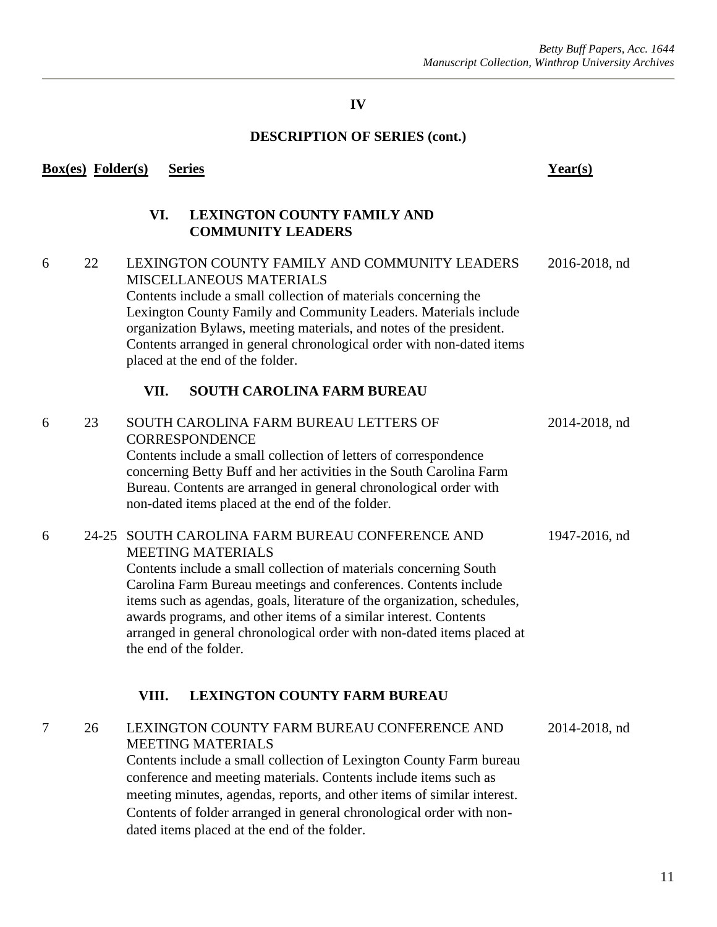#### **DESCRIPTION OF SERIES (cont.)**

#### <span id="page-11-0"></span>**Box(es) Folder(s) Series Year(s)**

#### **VI. LEXINGTON COUNTY FAMILY AND COMMUNITY LEADERS**

## 6 22 LEXINGTON COUNTY FAMILY AND COMMUNITY LEADERS 2016-2018, nd MISCELLANEOUS MATERIALS Contents include a small collection of materials concerning the Lexington County Family and Community Leaders. Materials include organization Bylaws, meeting materials, and notes of the president. Contents arranged in general chronological order with non-dated items placed at the end of the folder.

#### **VII. SOUTH CAROLINA FARM BUREAU**

<span id="page-11-1"></span>

| 6 | 23 | SOUTH CAROLINA FARM BUREAU LETTERS OF<br><b>CORRESPONDENCE</b><br>Contents include a small collection of letters of correspondence<br>concerning Betty Buff and her activities in the South Carolina Farm<br>Bureau. Contents are arranged in general chronological order with<br>non-dated items placed at the end of the folder.                                                                                                                                      | 2014-2018, nd |
|---|----|-------------------------------------------------------------------------------------------------------------------------------------------------------------------------------------------------------------------------------------------------------------------------------------------------------------------------------------------------------------------------------------------------------------------------------------------------------------------------|---------------|
| 6 |    | 24-25 SOUTH CAROLINA FARM BUREAU CONFERENCE AND<br><b>MEETING MATERIALS</b><br>Contents include a small collection of materials concerning South<br>Carolina Farm Bureau meetings and conferences. Contents include<br>items such as agendas, goals, literature of the organization, schedules,<br>awards programs, and other items of a similar interest. Contents<br>arranged in general chronological order with non-dated items placed at<br>the end of the folder. | 1947-2016, nd |
|   |    | <b>LEXINGTON COUNTY FARM BUREAU</b><br>VIII.                                                                                                                                                                                                                                                                                                                                                                                                                            |               |
| 7 | 26 | LEXINGTON COUNTY FARM BUREAU CONFERENCE AND<br><b>MEETING MATERIALS</b><br>Contents include a small collection of Lexington County Farm bureau<br>conference and meeting materials. Contents include items such as                                                                                                                                                                                                                                                      | 2014-2018, nd |

<span id="page-11-2"></span>meeting minutes, agendas, reports, and other items of similar interest. Contents of folder arranged in general chronological order with non-

dated items placed at the end of the folder.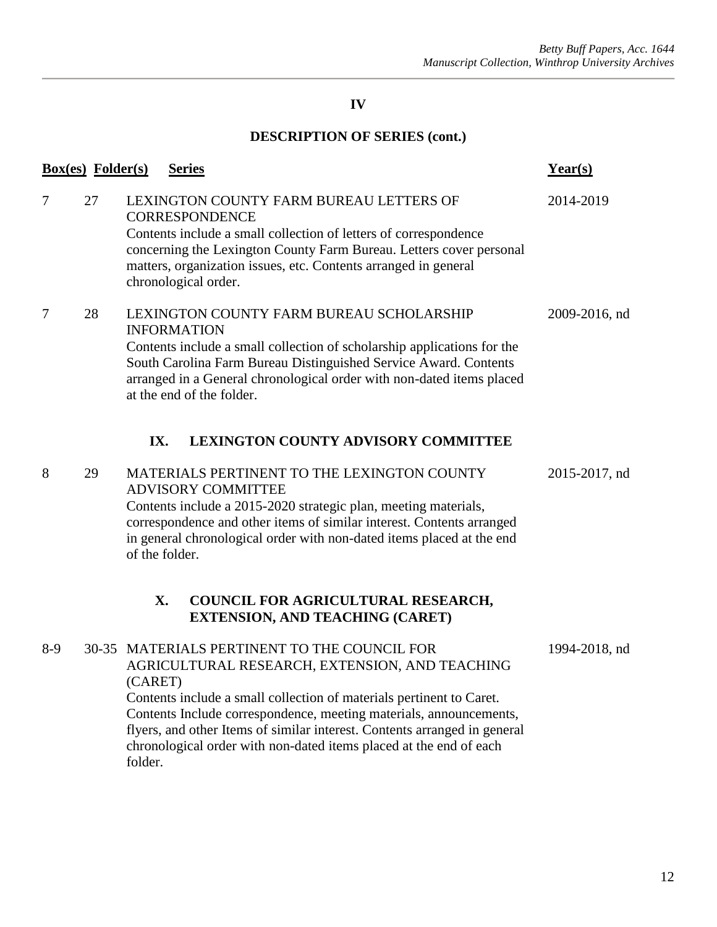<span id="page-12-1"></span><span id="page-12-0"></span>

|                | <b>Box(es)</b> Folder(s) | <b>Series</b>                                                                                                                                                                                                                                                                                                                                                                                                         | Year(s)       |
|----------------|--------------------------|-----------------------------------------------------------------------------------------------------------------------------------------------------------------------------------------------------------------------------------------------------------------------------------------------------------------------------------------------------------------------------------------------------------------------|---------------|
| $\overline{7}$ | 27                       | LEXINGTON COUNTY FARM BUREAU LETTERS OF<br><b>CORRESPONDENCE</b><br>Contents include a small collection of letters of correspondence<br>concerning the Lexington County Farm Bureau. Letters cover personal<br>matters, organization issues, etc. Contents arranged in general<br>chronological order.                                                                                                                | 2014-2019     |
| $\overline{7}$ | 28                       | LEXINGTON COUNTY FARM BUREAU SCHOLARSHIP<br><b>INFORMATION</b><br>Contents include a small collection of scholarship applications for the<br>South Carolina Farm Bureau Distinguished Service Award. Contents<br>arranged in a General chronological order with non-dated items placed<br>at the end of the folder.                                                                                                   | 2009-2016, nd |
|                |                          | IX.<br><b>LEXINGTON COUNTY ADVISORY COMMITTEE</b>                                                                                                                                                                                                                                                                                                                                                                     |               |
| 8              | 29                       | MATERIALS PERTINENT TO THE LEXINGTON COUNTY<br><b>ADVISORY COMMITTEE</b><br>Contents include a 2015-2020 strategic plan, meeting materials,<br>correspondence and other items of similar interest. Contents arranged<br>in general chronological order with non-dated items placed at the end<br>of the folder.                                                                                                       | 2015-2017, nd |
|                |                          | X.<br>COUNCIL FOR AGRICULTURAL RESEARCH,<br><b>EXTENSION, AND TEACHING (CARET)</b>                                                                                                                                                                                                                                                                                                                                    |               |
| $8-9$          |                          | 30-35 MATERIALS PERTINENT TO THE COUNCIL FOR<br>AGRICULTURAL RESEARCH, EXTENSION, AND TEACHING<br>(CARET)<br>Contents include a small collection of materials pertinent to Caret.<br>Contents Include correspondence, meeting materials, announcements,<br>flyers, and other Items of similar interest. Contents arranged in general<br>chronological order with non-dated items placed at the end of each<br>folder. | 1994-2018, nd |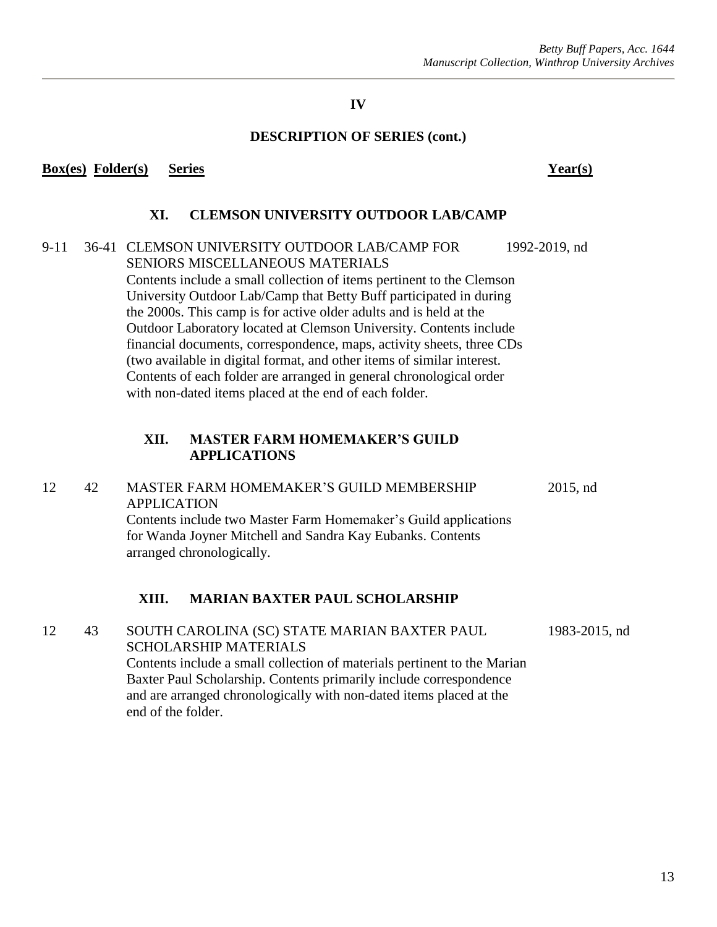#### **DESCRIPTION OF SERIES (cont.)**

#### <span id="page-13-0"></span>**Box(es) Folder(s) Series Year(s)**

### **XI. CLEMSON UNIVERSITY OUTDOOR LAB/CAMP**

## 9-11 36-41 CLEMSON UNIVERSITY OUTDOOR LAB/CAMP FOR 1992-2019, nd SENIORS MISCELLANEOUS MATERIALS Contents include a small collection of items pertinent to the Clemson University Outdoor Lab/Camp that Betty Buff participated in during the 2000s. This camp is for active older adults and is held at the Outdoor Laboratory located at Clemson University. Contents include financial documents, correspondence, maps, activity sheets, three CDs (two available in digital format, and other items of similar interest. Contents of each folder are arranged in general chronological order with non-dated items placed at the end of each folder.

#### **XII. MASTER FARM HOMEMAKER'S GUILD APPLICATIONS**

#### <span id="page-13-1"></span>12 42 MASTER FARM HOMEMAKER'S GUILD MEMBERSHIP 2015, nd APPLICATION Contents include two Master Farm Homemaker's Guild applications for Wanda Joyner Mitchell and Sandra Kay Eubanks. Contents

arranged chronologically.

## **XIII. MARIAN BAXTER PAUL SCHOLARSHIP**

<span id="page-13-2"></span>12 43 SOUTH CAROLINA (SC) STATE MARIAN BAXTER PAUL 1983-2015, nd SCHOLARSHIP MATERIALS Contents include a small collection of materials pertinent to the Marian Baxter Paul Scholarship. Contents primarily include correspondence and are arranged chronologically with non-dated items placed at the end of the folder.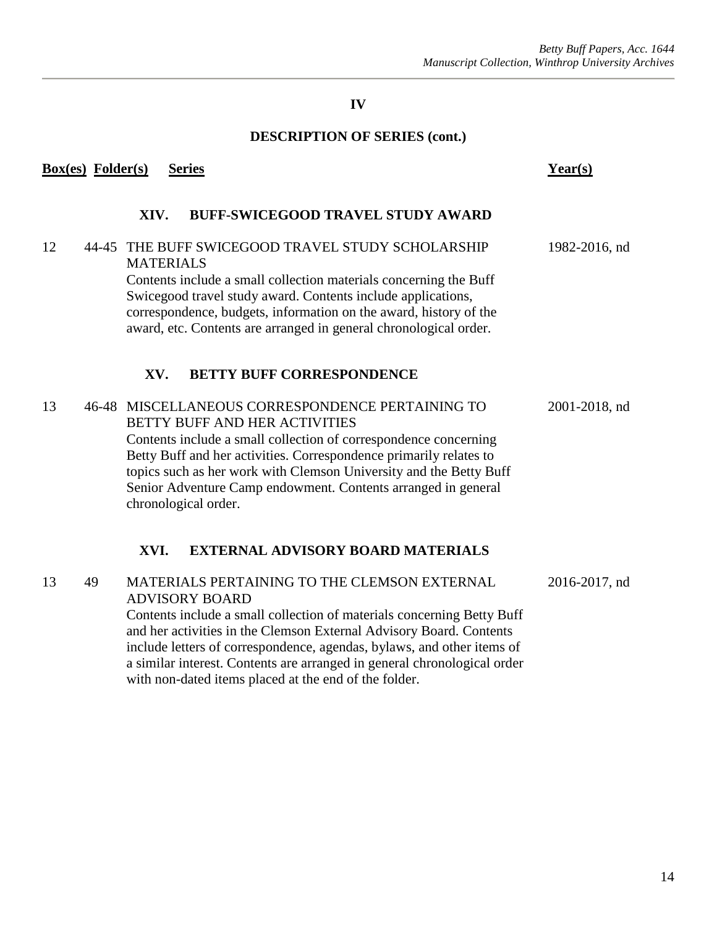# **DESCRIPTION OF SERIES (cont.)**

<span id="page-14-1"></span><span id="page-14-0"></span>

|    | Box(es) Folder(s) | <b>Series</b>                                                                                                                                                                                                                                                                                                                                                                              | Year(s)       |
|----|-------------------|--------------------------------------------------------------------------------------------------------------------------------------------------------------------------------------------------------------------------------------------------------------------------------------------------------------------------------------------------------------------------------------------|---------------|
|    |                   | <b>BUFF-SWICEGOOD TRAVEL STUDY AWARD</b><br>XIV.                                                                                                                                                                                                                                                                                                                                           |               |
| 12 |                   | 44-45 THE BUFF SWICEGOOD TRAVEL STUDY SCHOLARSHIP<br><b>MATERIALS</b><br>Contents include a small collection materials concerning the Buff<br>Swicegood travel study award. Contents include applications,<br>correspondence, budgets, information on the award, history of the<br>award, etc. Contents are arranged in general chronological order.                                       | 1982-2016, nd |
|    |                   | <b>BETTY BUFF CORRESPONDENCE</b><br>XV.                                                                                                                                                                                                                                                                                                                                                    |               |
| 13 |                   | 46-48 MISCELLANEOUS CORRESPONDENCE PERTAINING TO<br>BETTY BUFF AND HER ACTIVITIES<br>Contents include a small collection of correspondence concerning<br>Betty Buff and her activities. Correspondence primarily relates to<br>topics such as her work with Clemson University and the Betty Buff<br>Senior Adventure Camp endowment. Contents arranged in general<br>chronological order. | 2001-2018, nd |
|    |                   | XVI.<br><b>EXTERNAL ADVISORY BOARD MATERIALS</b>                                                                                                                                                                                                                                                                                                                                           |               |
| 13 | 49                | MATERIALS PERTAINING TO THE CLEMSON EXTERNAL<br><b>ADVISORY BOARD</b><br>Contents include a small collection of materials concerning Betty Buff<br>and her activities in the Clemson External Advisory Board. Contents<br>include letters of correspondence, agendas, bylaws, and other items of<br>a similar interest. Contents are arranged in general chronological order               | 2016-2017, nd |

<span id="page-14-2"></span>with non-dated items placed at the end of the folder.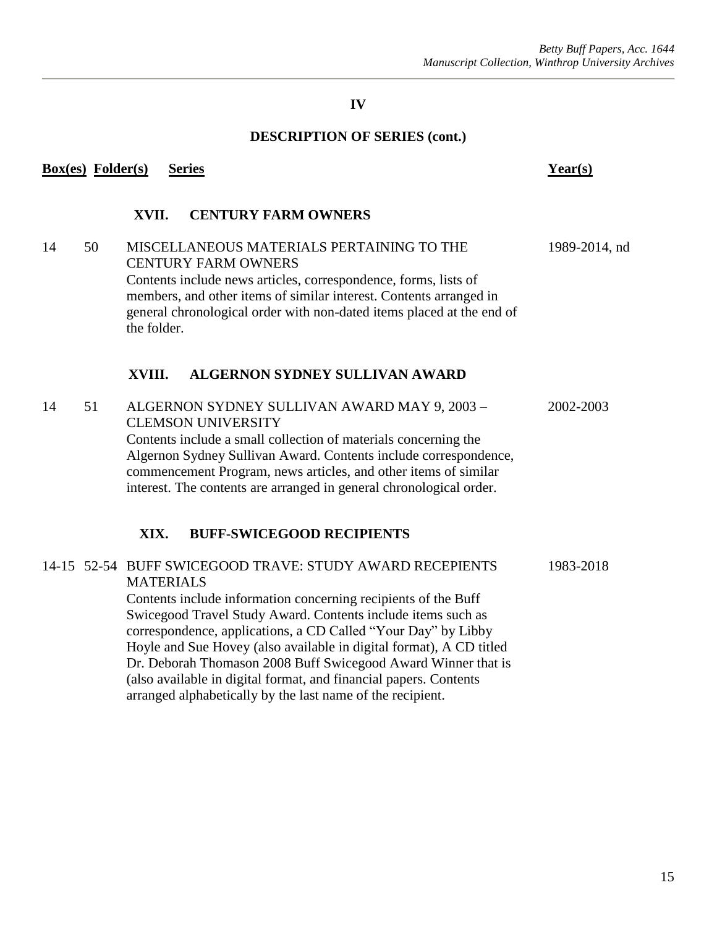#### **DESCRIPTION OF SERIES (cont.)**

# <span id="page-15-2"></span><span id="page-15-1"></span><span id="page-15-0"></span>**Box(es) Folder(s) Series Year(s) XVII. CENTURY FARM OWNERS** 14 50 MISCELLANEOUS MATERIALS PERTAINING TO THE 1989-2014, nd CENTURY FARM OWNERS Contents include news articles, correspondence, forms, lists of members, and other items of similar interest. Contents arranged in general chronological order with non-dated items placed at the end of the folder. **XVIII. ALGERNON SYDNEY SULLIVAN AWARD** 14 51 ALGERNON SYDNEY SULLIVAN AWARD MAY 9, 2003 – 2002-2003 CLEMSON UNIVERSITY Contents include a small collection of materials concerning the Algernon Sydney Sullivan Award. Contents include correspondence, commencement Program, news articles, and other items of similar interest. The contents are arranged in general chronological order. **XIX. BUFF-SWICEGOOD RECIPIENTS** 14-15 52-54 BUFF SWICEGOOD TRAVE: STUDY AWARD RECEPIENTS 1983-2018 **MATERIALS** Contents include information concerning recipients of the Buff Swicegood Travel Study Award. Contents include items such as correspondence, applications, a CD Called "Your Day" by Libby Hoyle and Sue Hovey (also available in digital format), A CD titled Dr. Deborah Thomason 2008 Buff Swicegood Award Winner that is (also available in digital format, and financial papers. Contents arranged alphabetically by the last name of the recipient.